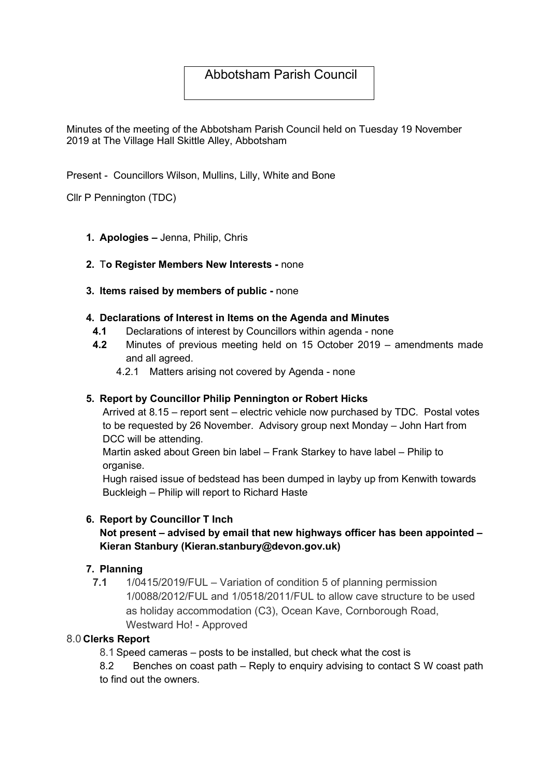# Abbotsham Parish Council

Minutes of the meeting of the Abbotsham Parish Council held on Tuesday 19 November 2019 at The Village Hall Skittle Alley, Abbotsham

Present - Councillors Wilson, Mullins, Lilly, White and Bone

Cllr P Pennington (TDC)

1. Apologies – Jenna, Philip, Chris

# 2. To Register Members New Interests - none

3. Items raised by members of public - none

#### 4. Declarations of Interest in Items on the Agenda and Minutes

- 4.1 Declarations of interest by Councillors within agenda none
- 4.2 Minutes of previous meeting held on 15 October 2019 amendments made and all agreed.
	- 4.2.1 Matters arising not covered by Agenda none

#### 5. Report by Councillor Philip Pennington or Robert Hicks

Arrived at 8.15 – report sent – electric vehicle now purchased by TDC. Postal votes to be requested by 26 November. Advisory group next Monday – John Hart from DCC will be attending.

Martin asked about Green bin label – Frank Starkey to have label – Philip to organise.

Hugh raised issue of bedstead has been dumped in layby up from Kenwith towards Buckleigh – Philip will report to Richard Haste

# 6. Report by Councillor T Inch

# Not present – advised by email that new highways officer has been appointed – Kieran Stanbury (Kieran.stanbury@devon.gov.uk)

#### 7. Planning

7.1 1/0415/2019/FUL – Variation of condition 5 of planning permission 1/0088/2012/FUL and 1/0518/2011/FUL to allow cave structure to be used as holiday accommodation (C3), Ocean Kave, Cornborough Road, Westward Ho! - Approved

#### 8.0 Clerks Report

8.1 Speed cameras – posts to be installed, but check what the cost is

8.2 Benches on coast path – Reply to enquiry advising to contact S W coast path to find out the owners.